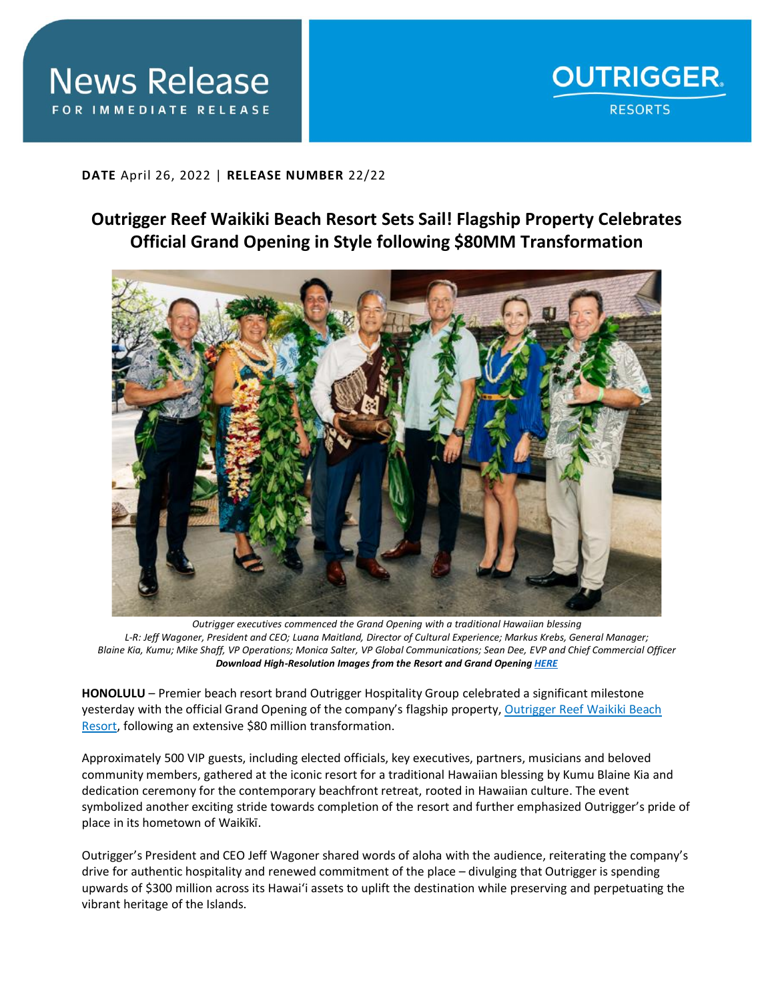

**DATE** April 26, 2022 | **RELEASE NUMBER** 22/22

## **Outrigger Reef Waikiki Beach Resort Sets Sail! Flagship Property Celebrates Official Grand Opening in Style following \$80MM Transformation**



*Outrigger executives commenced the Grand Opening with a traditional Hawaiian blessing L-R: Jeff Wagoner, President and CEO; Luana Maitland, Director of Cultural Experience; Markus Krebs, General Manager; Blaine Kia, Kumu; Mike Shaff, VP Operations; Monica Salter, VP Global Communications; Sean Dee, EVP and Chief Commercial Officer Download High-Resolution Images from the Resort and Grand Openin[g HERE](https://app.box.com/s/n3omyiuyg1o5l59pmh3aj9kwt1oe8t5o)*

**HONOLULU** – Premier beach resort brand Outrigger Hospitality Group celebrated a significant milestone yesterday with the official Grand Opening of the company's flagship property, [Outrigger Reef Waikiki Beach](https://www.outrigger.com/hotels-resorts/hawaii/oahu/outrigger-reef-waikiki-beach-resort)  [Resort,](https://www.outrigger.com/hotels-resorts/hawaii/oahu/outrigger-reef-waikiki-beach-resort) following an extensive \$80 million transformation.

Approximately 500 VIP guests, including elected officials, key executives, partners, musicians and beloved community members, gathered at the iconic resort for a traditional Hawaiian blessing by Kumu Blaine Kia and dedication ceremony for the contemporary beachfront retreat, rooted in Hawaiian culture. The event symbolized another exciting stride towards completion of the resort and further emphasized Outrigger's pride of place in its hometown of Waikīkī.

Outrigger's President and CEO Jeff Wagoner shared words of aloha with the audience, reiterating the company's drive for authentic hospitality and renewed commitment of the place – divulging that Outrigger is spending upwards of \$300 million across its Hawai'i assets to uplift the destination while preserving and perpetuating the vibrant heritage of the Islands.